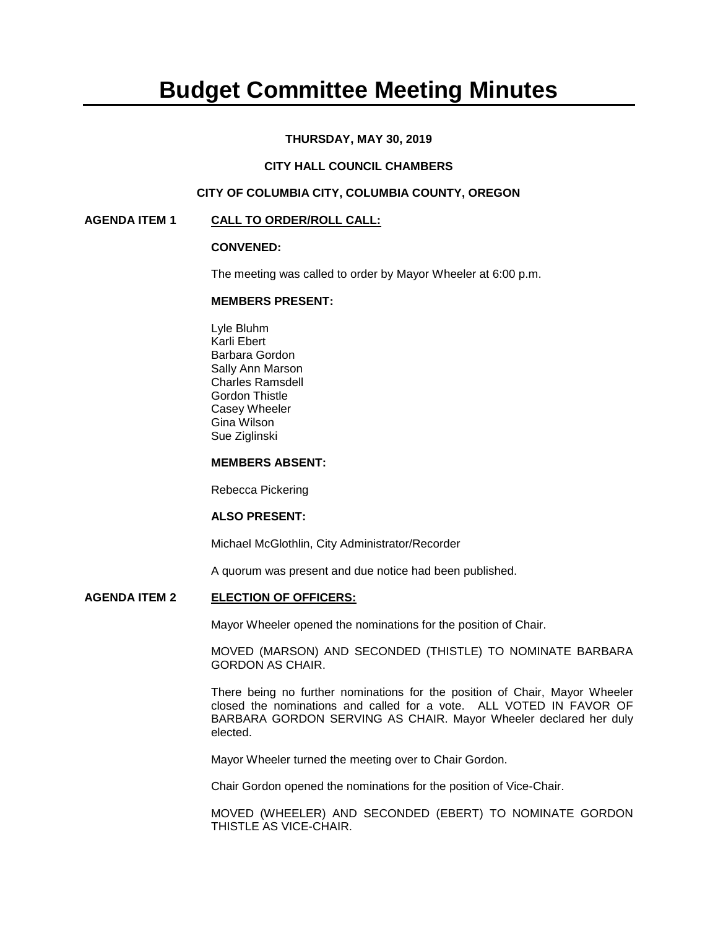# **Budget Committee Meeting Minutes**

## **THURSDAY, MAY 30, 2019**

# **CITY HALL COUNCIL CHAMBERS**

# **CITY OF COLUMBIA CITY, COLUMBIA COUNTY, OREGON**

#### **AGENDA ITEM 1 CALL TO ORDER/ROLL CALL:**

#### **CONVENED:**

The meeting was called to order by Mayor Wheeler at 6:00 p.m.

#### **MEMBERS PRESENT:**

Lyle Bluhm Karli Ebert Barbara Gordon Sally Ann Marson Charles Ramsdell Gordon Thistle Casey Wheeler Gina Wilson Sue Ziglinski

## **MEMBERS ABSENT:**

Rebecca Pickering

#### **ALSO PRESENT:**

Michael McGlothlin, City Administrator/Recorder

A quorum was present and due notice had been published.

#### **AGENDA ITEM 2 ELECTION OF OFFICERS:**

Mayor Wheeler opened the nominations for the position of Chair.

MOVED (MARSON) AND SECONDED (THISTLE) TO NOMINATE BARBARA GORDON AS CHAIR.

There being no further nominations for the position of Chair, Mayor Wheeler closed the nominations and called for a vote. ALL VOTED IN FAVOR OF BARBARA GORDON SERVING AS CHAIR. Mayor Wheeler declared her duly elected.

Mayor Wheeler turned the meeting over to Chair Gordon.

Chair Gordon opened the nominations for the position of Vice-Chair.

MOVED (WHEELER) AND SECONDED (EBERT) TO NOMINATE GORDON THISTLE AS VICE-CHAIR.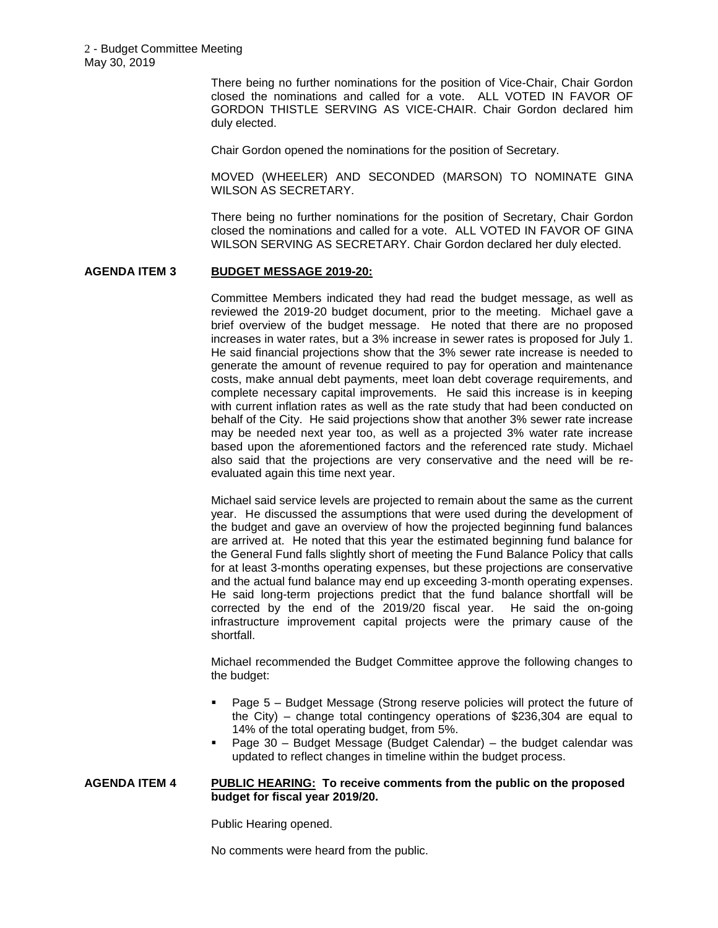There being no further nominations for the position of Vice-Chair, Chair Gordon closed the nominations and called for a vote. ALL VOTED IN FAVOR OF GORDON THISTLE SERVING AS VICE-CHAIR. Chair Gordon declared him duly elected.

Chair Gordon opened the nominations for the position of Secretary.

MOVED (WHEELER) AND SECONDED (MARSON) TO NOMINATE GINA WILSON AS SECRETARY.

There being no further nominations for the position of Secretary, Chair Gordon closed the nominations and called for a vote. ALL VOTED IN FAVOR OF GINA WILSON SERVING AS SECRETARY. Chair Gordon declared her duly elected.

# **AGENDA ITEM 3 BUDGET MESSAGE 2019-20:**

Committee Members indicated they had read the budget message, as well as reviewed the 2019-20 budget document, prior to the meeting. Michael gave a brief overview of the budget message. He noted that there are no proposed increases in water rates, but a 3% increase in sewer rates is proposed for July 1. He said financial projections show that the 3% sewer rate increase is needed to generate the amount of revenue required to pay for operation and maintenance costs, make annual debt payments, meet loan debt coverage requirements, and complete necessary capital improvements. He said this increase is in keeping with current inflation rates as well as the rate study that had been conducted on behalf of the City. He said projections show that another 3% sewer rate increase may be needed next year too, as well as a projected 3% water rate increase based upon the aforementioned factors and the referenced rate study. Michael also said that the projections are very conservative and the need will be reevaluated again this time next year.

Michael said service levels are projected to remain about the same as the current year. He discussed the assumptions that were used during the development of the budget and gave an overview of how the projected beginning fund balances are arrived at. He noted that this year the estimated beginning fund balance for the General Fund falls slightly short of meeting the Fund Balance Policy that calls for at least 3-months operating expenses, but these projections are conservative and the actual fund balance may end up exceeding 3-month operating expenses. He said long-term projections predict that the fund balance shortfall will be corrected by the end of the 2019/20 fiscal year. He said the on-going infrastructure improvement capital projects were the primary cause of the shortfall.

Michael recommended the Budget Committee approve the following changes to the budget:

- Page 5 Budget Message (Strong reserve policies will protect the future of the City) – change total contingency operations of \$236,304 are equal to 14% of the total operating budget, from 5%.
- Page 30 Budget Message (Budget Calendar) the budget calendar was updated to reflect changes in timeline within the budget process.

#### **AGENDA ITEM 4 PUBLIC HEARING: To receive comments from the public on the proposed budget for fiscal year 2019/20.**

Public Hearing opened.

No comments were heard from the public.